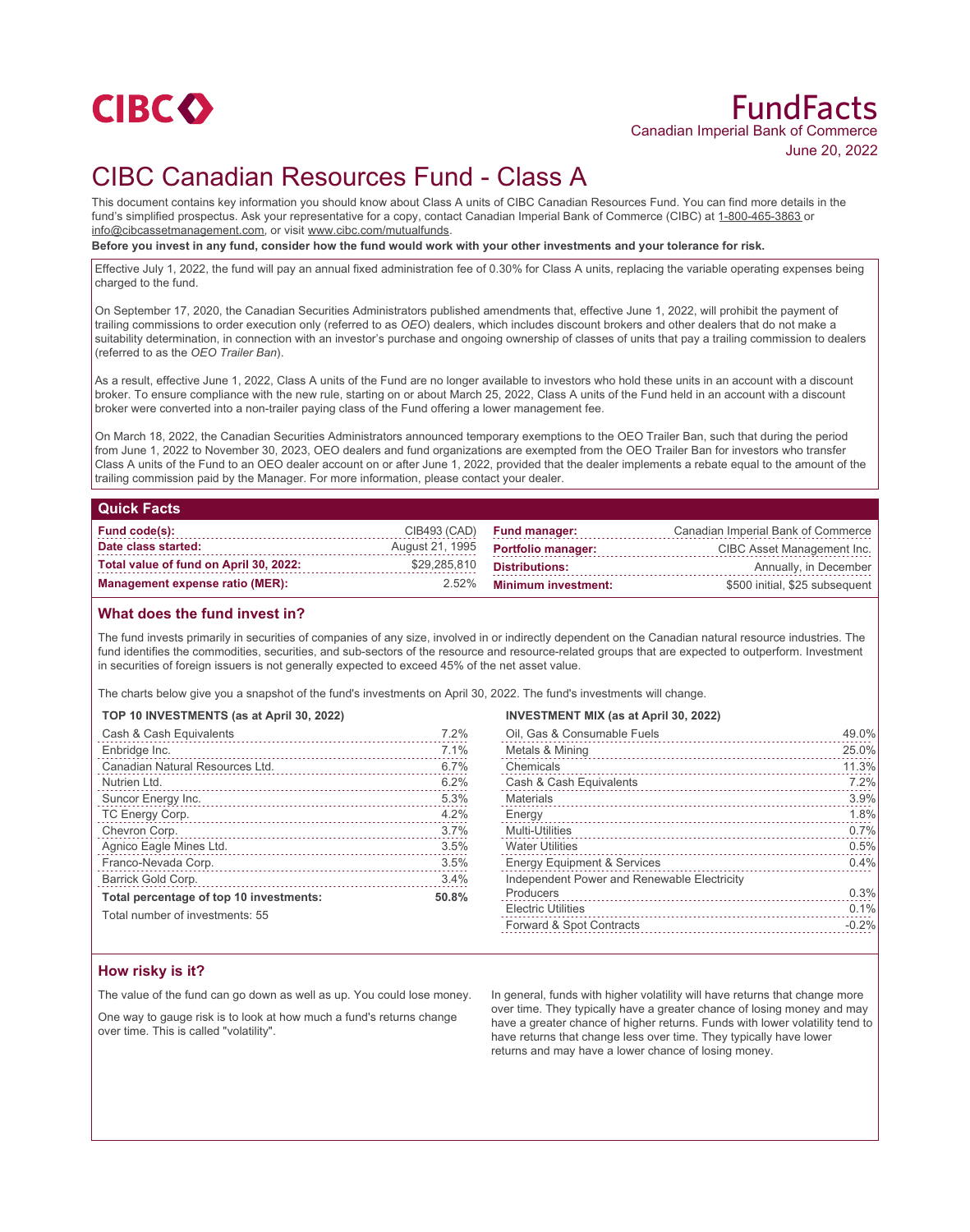

# FundFacts Canadian Imperial Bank of Commerce June 20, 2022

## CIBC Canadian Resources Fund - Class A

This document contains key information you should know about Class A units of CIBC Canadian Resources Fund. You can find more details in the fund's simplified prospectus. Ask your representative for a copy, contact Canadian Imperial Bank of Commerce (CIBC) at 1-800-465-3863 or info@cibcassetmanagement.com, or visit www.cibc.com/mutualfunds.

**Before you invest in any fund, consider how the fund would work with your other investments and your tolerance for risk.**

Effective July 1, 2022, the fund will pay an annual fixed administration fee of 0.30% for Class A units, replacing the variable operating expenses being charged to the fund.

On September 17, 2020, the Canadian Securities Administrators published amendments that, effective June 1, 2022, will prohibit the payment of trailing commissions to order execution only (referred to as *OEO*) dealers, which includes discount brokers and other dealers that do not make a suitability determination, in connection with an investor's purchase and ongoing ownership of classes of units that pay a trailing commission to dealers (referred to as the *OEO Trailer Ban*).

As a result, effective June 1, 2022, Class A units of the Fund are no longer available to investors who hold these units in an account with a discount broker. To ensure compliance with the new rule, starting on or about March 25, 2022, Class A units of the Fund held in an account with a discount broker were converted into a non-trailer paying class of the Fund offering a lower management fee.

On March 18, 2022, the Canadian Securities Administrators announced temporary exemptions to the OEO Trailer Ban, such that during the period from June 1, 2022 to November 30, 2023, OEO dealers and fund organizations are exempted from the OEO Trailer Ban for investors who transfer Class A units of the Fund to an OEO dealer account on or after June 1, 2022, provided that the dealer implements a rebate equal to the amount of the trailing commission paid by the Manager. For more information, please contact your dealer.

#### **Quick Facts**

| Fund code(s):                          |              | $CIB493$ $(CAD)$ Fund manager:            | Canadian Imperial Bank of Commerce |
|----------------------------------------|--------------|-------------------------------------------|------------------------------------|
| Date class started:                    |              | August 21, 1995 <b>Portfolio manager:</b> | CIBC Asset Management Inc.         |
| Total value of fund on April 30, 2022: | \$29,285,810 | Distributions:                            | Annually, in December              |
| Management expense ratio (MER):        |              | 2.52% Minimum investment:                 | \$500 initial, \$25 subsequent     |

## **What does the fund invest in?**

The fund invests primarily in securities of companies of any size, involved in or indirectly dependent on the Canadian natural resource industries. The fund identifies the commodities, securities, and sub-sectors of the resource and resource-related groups that are expected to outperform. Investment in securities of foreign issuers is not generally expected to exceed 45% of the net asset value.

The charts below give you a snapshot of the fund's investments on April 30, 2022. The fund's investments will change.

#### **TOP 10 INVESTMENTS (as at April 30, 2022)**

| Cash & Cash Equivalents                 | 7.2%  |
|-----------------------------------------|-------|
| Enbridge Inc.                           | 7.1%  |
| Canadian Natural Resources Ltd.         | 6.7%  |
| Nutrien Ltd.                            | 6.2%  |
| Suncor Energy Inc.                      | 5.3%  |
| TC Energy Corp.                         | 4.2%  |
| Chevron Corp.                           | 3.7%  |
| Agnico Eagle Mines Ltd.                 | 3.5%  |
| Franco-Nevada Corp.                     | 3.5%  |
| Barrick Gold Corp.                      | 3.4%  |
| Total percentage of top 10 investments: | 50.8% |
| Total number of investments: 55         |       |

#### **INVESTMENT MIX (as at April 30, 2022)**

| Oil, Gas & Consumable Fuels                 | 49.0%   |
|---------------------------------------------|---------|
| Metals & Mining                             | 25.0%   |
| Chemicals                                   | 11.3%   |
| Cash & Cash Equivalents                     | 7.2%    |
| <b>Materials</b>                            | 3.9%    |
| Energy                                      | 1.8%    |
| <b>Multi-Utilities</b>                      | 0.7%    |
| <b>Water Utilities</b>                      | 0.5%    |
| <b>Energy Equipment &amp; Services</b>      | 0.4%    |
| Independent Power and Renewable Electricity |         |
| Producers                                   | 0.3%    |
| <b>Electric Utilities</b>                   | 0.1%    |
| Forward & Spot Contracts                    | $-0.2%$ |
|                                             |         |

## **How risky is it?**

The value of the fund can go down as well as up. You could lose money.

One way to gauge risk is to look at how much a fund's returns change over time. This is called "volatility".

In general, funds with higher volatility will have returns that change more over time. They typically have a greater chance of losing money and may have a greater chance of higher returns. Funds with lower volatility tend to have returns that change less over time. They typically have lower returns and may have a lower chance of losing money.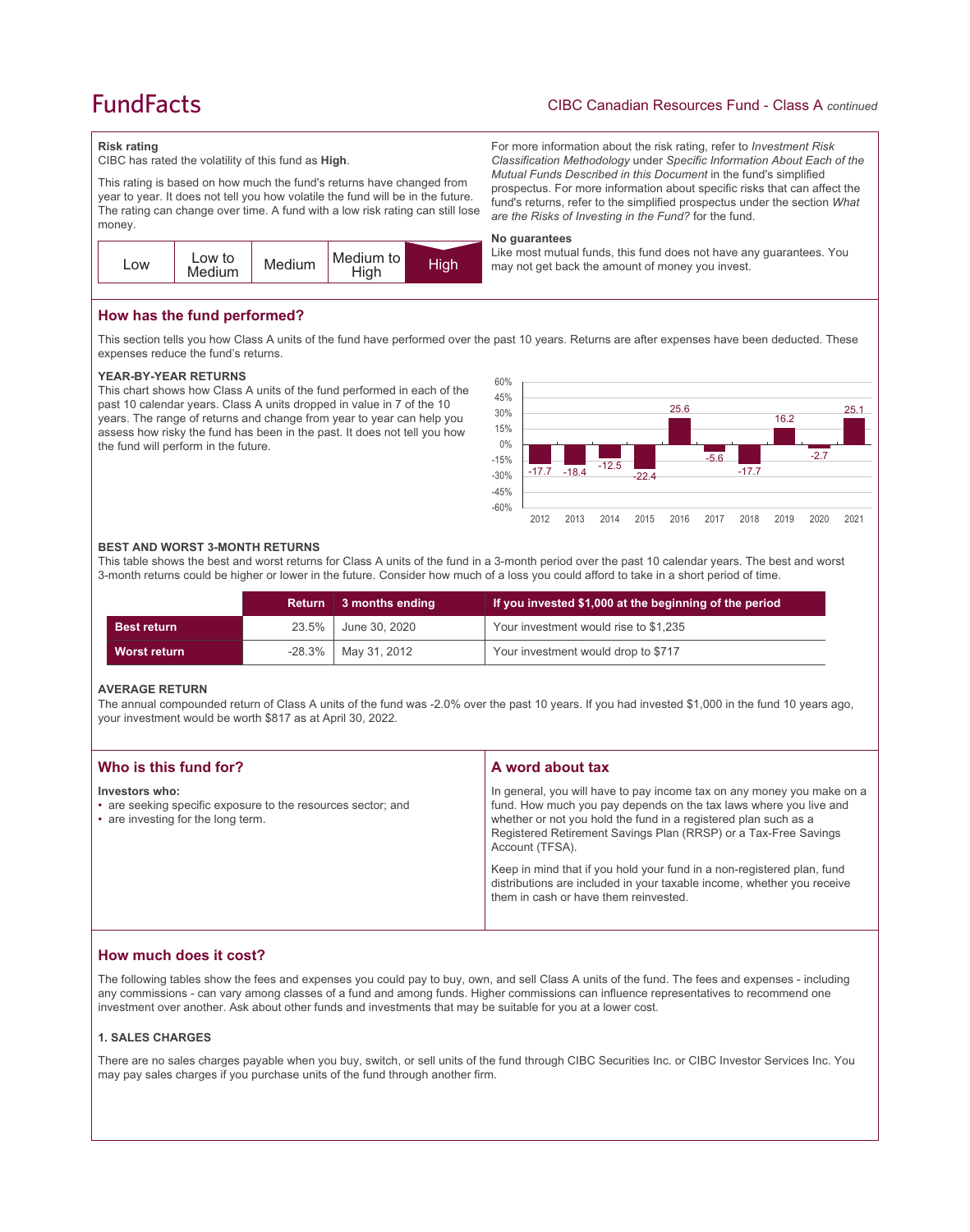## **FundFacts**

## CIBC Canadian Resources Fund - Class A *continued*

For more information about the risk rating, refer to *Investment Risk Classification Methodology* under *Specific Information About Each of the Mutual Funds Described in this Document* in the fund's simplified prospectus. For more information about specific risks that can affect the fund's returns, refer to the simplified prospectus under the section *What* 

Like most mutual funds, this fund does not have any guarantees. You

*are the Risks of Investing in the Fund?* for the fund.

may not get back the amount of money you invest.

#### **Risk rating**

CIBC has rated the volatility of this fund as **High**.

This rating is based on how much the fund's returns have changed from year to year. It does not tell you how volatile the fund will be in the future. The rating can change over time. A fund with a low risk rating can still lose money.



**How has the fund performed?**

This section tells you how Class A units of the fund have performed over the past 10 years. Returns are after expenses have been deducted. These expenses reduce the fund's returns.

**No guarantees**

#### **YEAR-BY-YEAR RETURNS**

This chart shows how Class A units of the fund performed in each of the past 10 calendar years. Class A units dropped in value in 7 of the 10 years. The range of returns and change from year to year can help you assess how risky the fund has been in the past. It does not tell you how the fund will perform in the future.



#### **BEST AND WORST 3-MONTH RETURNS**

This table shows the best and worst returns for Class A units of the fund in a 3-month period over the past 10 calendar years. The best and worst 3-month returns could be higher or lower in the future. Consider how much of a loss you could afford to take in a short period of time.

|                    | Return   | 3 months ending          | If you invested \$1,000 at the beginning of the period |
|--------------------|----------|--------------------------|--------------------------------------------------------|
| <b>Best return</b> | $23.5\%$ | June 30, 2020            | Your investment would rise to \$1,235                  |
| Worst return       |          | $-28.3\%$   May 31, 2012 | Your investment would drop to \$717                    |

#### **AVERAGE RETURN**

The annual compounded return of Class A units of the fund was -2.0% over the past 10 years. If you had invested \$1,000 in the fund 10 years ago, your investment would be worth \$817 as at April 30, 2022.

| Who is this fund for?                                                                                                | A word about tax                                                                                                                                                                                                                                                                                     |
|----------------------------------------------------------------------------------------------------------------------|------------------------------------------------------------------------------------------------------------------------------------------------------------------------------------------------------------------------------------------------------------------------------------------------------|
| Investors who:<br>• are seeking specific exposure to the resources sector; and<br>• are investing for the long term. | In general, you will have to pay income tax on any money you make on a<br>fund. How much you pay depends on the tax laws where you live and<br>whether or not you hold the fund in a registered plan such as a<br>Registered Retirement Savings Plan (RRSP) or a Tax-Free Savings<br>Account (TFSA). |
|                                                                                                                      | Keep in mind that if you hold your fund in a non-registered plan, fund<br>distributions are included in your taxable income, whether you receive<br>them in cash or have them reinvested.                                                                                                            |

## **How much does it cost?**

The following tables show the fees and expenses you could pay to buy, own, and sell Class A units of the fund. The fees and expenses - including any commissions - can vary among classes of a fund and among funds. Higher commissions can influence representatives to recommend one investment over another. Ask about other funds and investments that may be suitable for you at a lower cost.

#### **1. SALES CHARGES**

There are no sales charges payable when you buy, switch, or sell units of the fund through CIBC Securities Inc. or CIBC Investor Services Inc. You may pay sales charges if you purchase units of the fund through another firm.